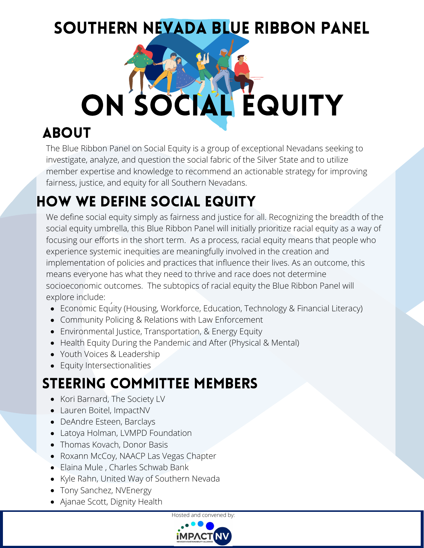#### SOUTHERN NEVADA BLUE RIBBON PANEL

# ON SOCIAL EQUITY

#### **ABOUT**

The Blue Ribbon Panel on Social Equity is a group of exceptional Nevadans seeking to investigate, analyze, and question the social fabric of the Silver State and to utilize member expertise and knowledge to recommend an actionable strategy for improving fairness, justice, and equity for all Southern Nevadans.

#### How We Define Social Equity

We define social equity simply as fairness and justice for all. Recognizing the breadth of the social equity umbrella, this Blue Ribbon Panel will initially prioritize racial equity as a way of focusing our efforts in the short term. As a process, racial equity means that people who experience systemic inequities are meaningfully involved in the creation and implementation of policies and practices that influence their lives. As an outcome, this means everyone has what they need to thrive and race does not determine socioeconomic outcomes. The subtopics of racial equity the Blue Ribbon Panel will explore include:

- Economic Equity (Housing, Workforce, Education, Technology & Financial Literacy)
- Community Policing & Relations with Law Enforcement
- Environmental Justice, Transportation, & Energy Equity
- Health Equity During the Pandemic and After (Physical & Mental)
- Youth Voices & Leadership
- **•** Equity Intersectionalities

#### Steering Committee Members

- Kori Barnard, The Society LV
- Lauren Boitel, ImpactNV
- DeAndre Esteen, Barclays
- Latoya Holman, LVMPD Foundation
- Thomas Kovach, Donor Basis
- Roxann McCoy, NAACP Las Vegas Chapter
- Elaina Mule, Charles Schwab Bank
- Kyle Rahn, United Way of Southern Nevada
- Tony Sanchez, NVEnergy
- Ajanae Scott, Dignity Health

Hosted and convened by:

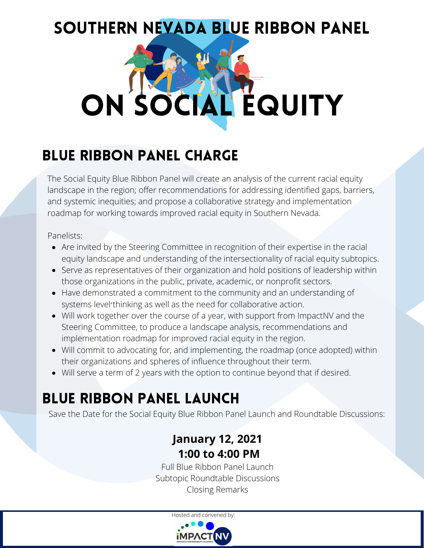### SOUTHERN NEVADA BLUE RIBBON PANEL



#### Blue Ribbon Panel Charge

The Social Equity Blue Ribbon Panel will create an analysis of the current racial equity landscape in the region; offer recommendations for addressing identified gaps, barriers, and systemic inequities; and propose a collaborative strategy and implementation roadmap for working towards improved racial equity in Southern Nevada.

Panelists:

- Are invited by the Steering Committee in recognition of their expertise in the racial equity landscape and understanding of the intersectionality of racial equity subtopics.
- Serve as representatives of their organization and hold positions of leadership within those organizations in the public, private, academic, or nonprofit sectors.
- Have demonstrated a commitment to the community and an understanding of systems level'thinking as well as the need for collaborative action.
- Will work together over the course of a year, with support from ImpactNV and the Steering Committee, to produce a landscape analysis, recommendations and implementation roadmap for improved racial equity in the region.
- Will commit to advocating for, and implementing, the roadmap (once adopted) within their organizations and spheres of influence throughout their term.
- Will serve a term of 2 years with the option to continue beyond that if desired.

#### Blue Ribbon Panel Launch

Save the Date for the Social Equity Blue Ribbon Panel Launch and Roundtable Discussions:

#### **January 12, 2021 1:00 to 4:00 PM**

Full Blue Ribbon Panel Launch Subtopic Roundtable Discussions Closing Remarks

Hosted and convened by: